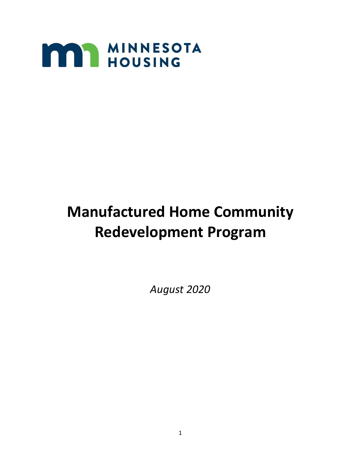

# **Manufactured Home Community Redevelopment Program**

*August 2020*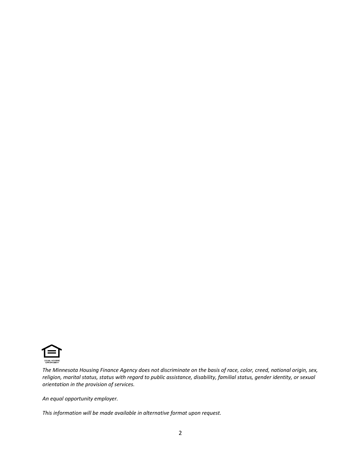

*The Minnesota Housing Finance Agency does not discriminate on the basis of race, color, creed, national origin, sex, religion, marital status, status with regard to public assistance, disability, familial status, gender identity, or sexual orientation in the provision of services.*

*An equal opportunity employer.*

*This information will be made available in alternative format upon request.*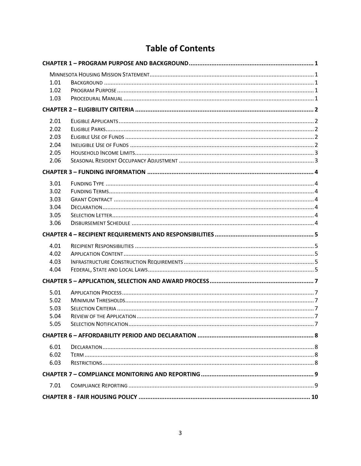## **Table of Contents**

| 1.01<br>1.02<br>1.03                         |  |  |  |  |
|----------------------------------------------|--|--|--|--|
|                                              |  |  |  |  |
| 2.01<br>2.02<br>2.03<br>2.04<br>2.05<br>2.06 |  |  |  |  |
|                                              |  |  |  |  |
| 3.01<br>3.02<br>3.03<br>3.04<br>3.05<br>3.06 |  |  |  |  |
|                                              |  |  |  |  |
| 4.01<br>4.02<br>4.03<br>4.04                 |  |  |  |  |
|                                              |  |  |  |  |
| 5.01<br>5.02<br>5.03<br>5.04<br>5.05         |  |  |  |  |
|                                              |  |  |  |  |
| 6.01<br>6.02<br>6.03                         |  |  |  |  |
|                                              |  |  |  |  |
|                                              |  |  |  |  |
| 7.01                                         |  |  |  |  |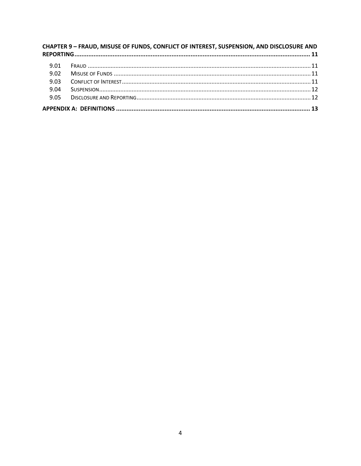| CHAPTER 9 - FRAUD, MISUSE OF FUNDS, CONFLICT OF INTEREST, SUSPENSION, AND DISCLOSURE AND |  |  |  |  |
|------------------------------------------------------------------------------------------|--|--|--|--|
| 9.01                                                                                     |  |  |  |  |
| 9.02                                                                                     |  |  |  |  |
| 9.03                                                                                     |  |  |  |  |
| 9.04                                                                                     |  |  |  |  |
| 9.05                                                                                     |  |  |  |  |
|                                                                                          |  |  |  |  |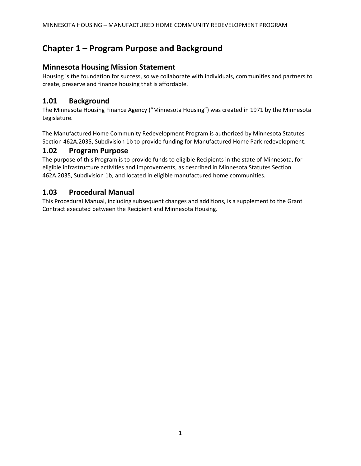## **Chapter 1 – Program Purpose and Background**

#### **Minnesota Housing Mission Statement**

Housing is the foundation for success, so we collaborate with individuals, communities and partners to create, preserve and finance housing that is affordable.

#### **1.01 Background**

The Minnesota Housing Finance Agency ("Minnesota Housing") was created in 1971 by the Minnesota Legislature.

The Manufactured Home Community Redevelopment Program is authorized by Minnesota Statutes Section 462A.2035, Subdivision 1b to provide funding for Manufactured Home Park redevelopment.

#### **1.02 Program Purpose**

The purpose of this Program is to provide funds to eligible Recipients in the state of Minnesota, for eligible infrastructure activities and improvements, as described in Minnesota Statutes Section 462A.2035, Subdivision 1b, and located in eligible manufactured home communities.

#### **1.03 Procedural Manual**

This Procedural Manual, including subsequent changes and additions, is a supplement to the Grant Contract executed between the Recipient and Minnesota Housing.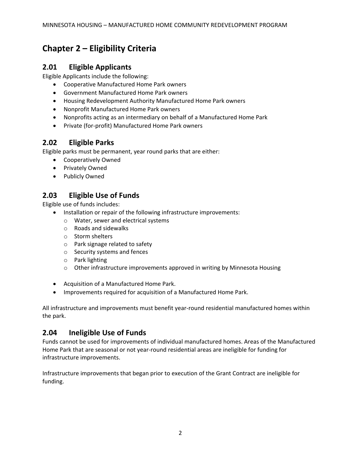## **Chapter 2 – Eligibility Criteria**

#### **2.01 Eligible Applicants**

Eligible Applicants include the following:

- Cooperative Manufactured Home Park owners
- Government Manufactured Home Park owners
- Housing Redevelopment Authority Manufactured Home Park owners
- Nonprofit Manufactured Home Park owners
- Nonprofits acting as an intermediary on behalf of a Manufactured Home Park
- Private (for-profit) Manufactured Home Park owners

#### **2.02 Eligible Parks**

Eligible parks must be permanent, year round parks that are either:

- Cooperatively Owned
- Privately Owned
- Publicly Owned

#### **2.03 Eligible Use of Funds**

Eligible use of funds includes:

- Installation or repair of the following infrastructure improvements:
	- o Water, sewer and electrical systems
	- o Roads and sidewalks
	- o Storm shelters
	- o Park signage related to safety
	- o Security systems and fences
	- o Park lighting
	- o Other infrastructure improvements approved in writing by Minnesota Housing
- Acquisition of a Manufactured Home Park.
- Improvements required for acquisition of a Manufactured Home Park.

All infrastructure and improvements must benefit year-round residential manufactured homes within the park.

#### **2.04 Ineligible Use of Funds**

Funds cannot be used for improvements of individual manufactured homes. Areas of the Manufactured Home Park that are seasonal or not year-round residential areas are ineligible for funding for infrastructure improvements.

Infrastructure improvements that began prior to execution of the Grant Contract are ineligible for funding.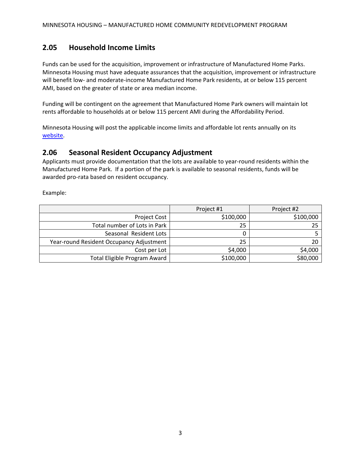#### **2.05 Household Income Limits**

Funds can be used for the acquisition, improvement or infrastructure of Manufactured Home Parks. Minnesota Housing must have adequate assurances that the acquisition, improvement or infrastructure will benefit low- and moderate-income Manufactured Home Park residents, at or below 115 percent AMI, based on the greater of state or area median income.

Funding will be contingent on the agreement that Manufactured Home Park owners will maintain lot rents affordable to households at or below 115 percent AMI during the Affordability Period.

Minnesota Housing will post the applicable income limits and affordable lot rents annually on its [website.](http://www.mnhousing.gov/sites/lenders/ManufacturedHousing)

#### **2.06 Seasonal Resident Occupancy Adjustment**

Applicants must provide documentation that the lots are available to year-round residents within the Manufactured Home Park. If a portion of the park is available to seasonal residents, funds will be awarded pro-rata based on resident occupancy.

Example:

|                                          | Project #1 | Project #2 |
|------------------------------------------|------------|------------|
| <b>Project Cost</b>                      | \$100,000  | \$100,000  |
| Total number of Lots in Park             | 25         |            |
| Seasonal Resident Lots                   |            |            |
| Year-round Resident Occupancy Adjustment | 25         |            |
| Cost per Lot                             | \$4,000    | \$4,000    |
| Total Eligible Program Award             | \$100,000  | \$80,000   |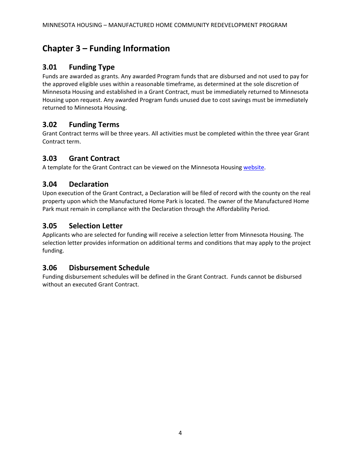## **Chapter 3 – Funding Information**

#### **3.01 Funding Type**

Funds are awarded as grants. Any awarded Program funds that are disbursed and not used to pay for the approved eligible uses within a reasonable timeframe, as determined at the sole discretion of Minnesota Housing and established in a Grant Contract, must be immediately returned to Minnesota Housing upon request. Any awarded Program funds unused due to cost savings must be immediately returned to Minnesota Housing.

#### **3.02 Funding Terms**

Grant Contract terms will be three years. All activities must be completed within the three year Grant Contract term.

#### **3.03 Grant Contract**

A template for the Grant Contract can be viewed on the Minnesota Housing [website.](http://www.mnhousing.gov/sites/lenders/ManufacturedHousing)

#### **3.04 Declaration**

Upon execution of the Grant Contract, a Declaration will be filed of record with the county on the real property upon which the Manufactured Home Park is located. The owner of the Manufactured Home Park must remain in compliance with the Declaration through the Affordability Period.

#### **3.05 Selection Letter**

Applicants who are selected for funding will receive a selection letter from Minnesota Housing. The selection letter provides information on additional terms and conditions that may apply to the project funding.

#### **3.06 Disbursement Schedule**

Funding disbursement schedules will be defined in the Grant Contract. Funds cannot be disbursed without an executed Grant Contract.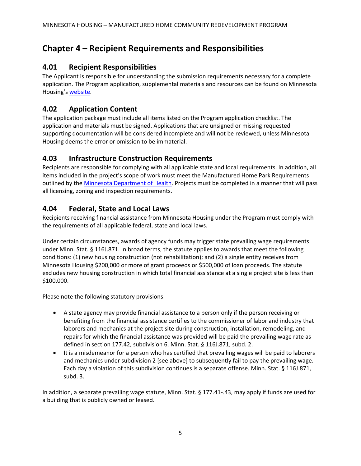## **Chapter 4 – Recipient Requirements and Responsibilities**

#### **4.01 Recipient Responsibilities**

The Applicant is responsible for understanding the submission requirements necessary for a complete application. The Program application, supplemental materials and resources can be found on Minnesota Housing's [website.](http://www.mnhousing.gov/sites/lenders/ManufacturedHousing)

#### **4.02 Application Content**

The application package must include all items listed on the Program application checklist. The application and materials must be signed. Applications that are unsigned or missing requested supporting documentation will be considered incomplete and will not be reviewed, unless Minnesota Housing deems the error or omission to be immaterial.

#### **4.03 Infrastructure Construction Requirements**

Recipients are responsible for complying with all applicable state and local requirements. In addition, all items included in the project's scope of work must meet the Manufactured Home Park Requirements outlined by the [Minnesota Department of Health.](https://www.health.state.mn.us/communities/environment/mhprca/mhpgenreq.html) Projects must be completed in a manner that will pass all licensing, zoning and inspection requirements.

#### **4.04 Federal, State and Local Laws**

Recipients receiving financial assistance from Minnesota Housing under the Program must comply with the requirements of all applicable federal, state and local laws.

Under certain circumstances, awards of agency funds may trigger state prevailing wage requirements under Minn. Stat. § 116J.871. In broad terms, the statute applies to awards that meet the following conditions: (1) new housing construction (not rehabilitation); and (2) a single entity receives from Minnesota Housing \$200,000 or more of grant proceeds or \$500,000 of loan proceeds. The statute excludes new housing construction in which total financial assistance at a single project site is less than \$100,000.

Please note the following statutory provisions:

- A state agency may provide financial assistance to a person only if the person receiving or benefiting from the financial assistance certifies to the commissioner of labor and industry that laborers and mechanics at the project site during construction, installation, remodeling, and repairs for which the financial assistance was provided will be paid the prevailing wage rate as defined in section 177.42, subdivision 6. Minn. Stat. § 116J.871, subd. 2.
- It is a misdemeanor for a person who has certified that prevailing wages will be paid to laborers and mechanics under subdivision 2 [see above] to subsequently fail to pay the prevailing wage. Each day a violation of this subdivision continues is a separate offense. Minn. Stat. § 116J.871, subd. 3.

In addition, a separate prevailing wage statute, Minn. Stat. § 177.41-.43, may apply if funds are used for a building that is publicly owned or leased.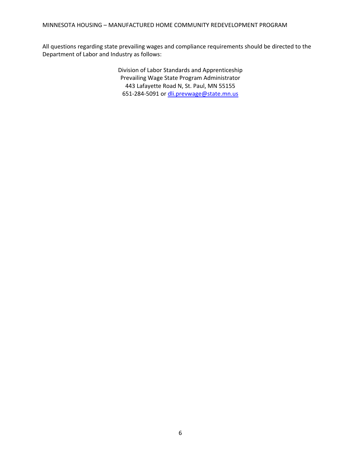All questions regarding state prevailing wages and compliance requirements should be directed to the Department of Labor and Industry as follows:

> Division of Labor Standards and Apprenticeship Prevailing Wage State Program Administrator 443 Lafayette Road N, St. Paul, MN 55155 651-284-5091 o[r dli.prevwage@state.mn.us](mailto:dli.prevwage@state.mn.us)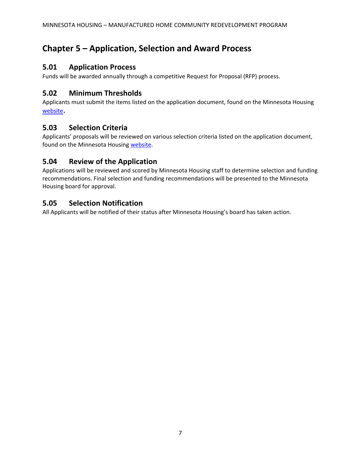## **Chapter 5 – Application, Selection and Award Process**

#### **5.01 Application Process**

Funds will be awarded annually through a competitive Request for Proposal (RFP) process.

#### **5.02 Minimum Thresholds**

Applicants must submit the items listed on the application document, found on the Minnesota Housing [website](http://www.mnhousing.gov/sites/lenders/ManufacturedHousing).

#### **5.03 Selection Criteria**

Applicants' proposals will be reviewed on various selection criteria listed on the application document, found on the Minnesota Housin[g website.](http://www.mnhousing.gov/sites/lenders/ManufacturedHousing)

#### **5.04 Review of the Application**

Applications will be reviewed and scored by Minnesota Housing staff to determine selection and funding recommendations. Final selection and funding recommendations will be presented to the Minnesota Housing board for approval.

#### **5.05 Selection Notification**

All Applicants will be notified of their status after Minnesota Housing's board has taken action.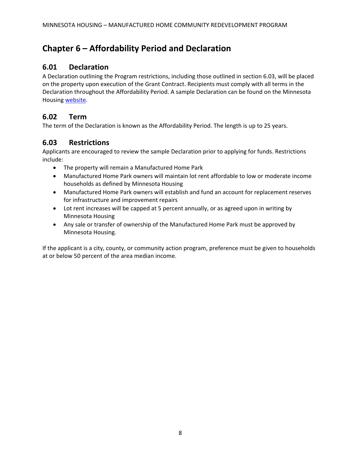## **Chapter 6 – Affordability Period and Declaration**

#### **6.01 Declaration**

A Declaration outlining the Program restrictions, including those outlined in section 6.03, will be placed on the property upon execution of the Grant Contract. Recipients must comply with all terms in the Declaration throughout the Affordability Period. A sample Declaration can be found on the Minnesota Housing [website.](http://www.mnhousing.gov/sites/lenders/ManufacturedHousing)

#### **6.02 Term**

The term of the Declaration is known as the Affordability Period. The length is up to 25 years.

#### **6.03 Restrictions**

Applicants are encouraged to review the sample Declaration prior to applying for funds. Restrictions include:

- The property will remain a Manufactured Home Park
- Manufactured Home Park owners will maintain lot rent affordable to low or moderate income households as defined by Minnesota Housing
- Manufactured Home Park owners will establish and fund an account for replacement reserves for infrastructure and improvement repairs
- Lot rent increases will be capped at 5 percent annually, or as agreed upon in writing by Minnesota Housing
- Any sale or transfer of ownership of the Manufactured Home Park must be approved by Minnesota Housing.

If the applicant is a city, county, or community action program, preference must be given to households at or below 50 percent of the area median income.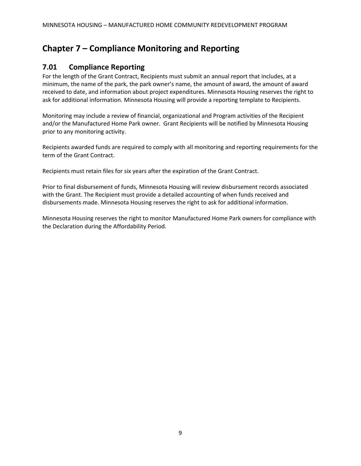## **Chapter 7 – Compliance Monitoring and Reporting**

#### **7.01 Compliance Reporting**

For the length of the Grant Contract, Recipients must submit an annual report that includes, at a minimum, the name of the park, the park owner's name, the amount of award, the amount of award received to date, and information about project expenditures. Minnesota Housing reserves the right to ask for additional information. Minnesota Housing will provide a reporting template to Recipients.

Monitoring may include a review of financial, organizational and Program activities of the Recipient and/or the Manufactured Home Park owner. Grant Recipients will be notified by Minnesota Housing prior to any monitoring activity.

Recipients awarded funds are required to comply with all monitoring and reporting requirements for the term of the Grant Contract.

Recipients must retain files for six years after the expiration of the Grant Contract.

Prior to final disbursement of funds, Minnesota Housing will review disbursement records associated with the Grant. The Recipient must provide a detailed accounting of when funds received and disbursements made. Minnesota Housing reserves the right to ask for additional information.

Minnesota Housing reserves the right to monitor Manufactured Home Park owners for compliance with the Declaration during the Affordability Period.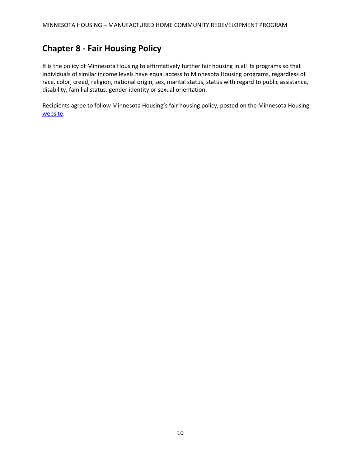## **Chapter 8 - Fair Housing Policy**

It is the policy of Minnesota Housing to affirmatively further fair housing in all its programs so that individuals of similar income levels have equal access to Minnesota Housing programs, regardless of race, color, creed, religion, national origin, sex, marital status, status with regard to public assistance, disability, familial status, gender identity or sexual orientation.

Recipients agree to follow Minnesota Housing's fair housing policy, posted on the Minnesota Housing [website.](http://www.mnhousing.gov/sites/np/fairhousing)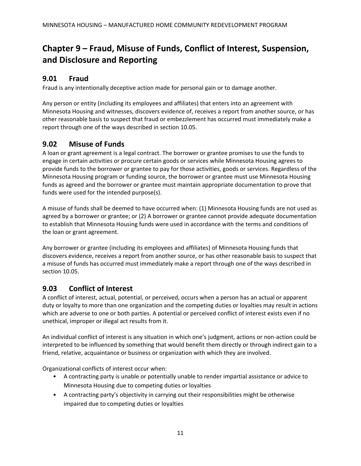## **Chapter 9 – Fraud, Misuse of Funds, Conflict of Interest, Suspension, and Disclosure and Reporting**

#### **9.01 Fraud**

Fraud is any intentionally deceptive action made for personal gain or to damage another.

Any person or entity (including its employees and affiliates) that enters into an agreement with Minnesota Housing and witnesses, discovers evidence of, receives a report from another source, or has other reasonable basis to suspect that fraud or embezzlement has occurred must immediately make a report through one of the ways described in section 10.05.

#### **9.02 Misuse of Funds**

A loan or grant agreement is a legal contract. The borrower or grantee promises to use the funds to engage in certain activities or procure certain goods or services while Minnesota Housing agrees to provide funds to the borrower or grantee to pay for those activities, goods or services. Regardless of the Minnesota Housing program or funding source, the borrower or grantee must use Minnesota Housing funds as agreed and the borrower or grantee must maintain appropriate documentation to prove that funds were used for the intended purpose(s).

A misuse of funds shall be deemed to have occurred when: (1) Minnesota Housing funds are not used as agreed by a borrower or grantee; or (2) A borrower or grantee cannot provide adequate documentation to establish that Minnesota Housing funds were used in accordance with the terms and conditions of the loan or grant agreement.

Any borrower or grantee (including its employees and affiliates) of Minnesota Housing funds that discovers evidence, receives a report from another source, or has other reasonable basis to suspect that a misuse of funds has occurred must immediately make a report through one of the ways described in section 10.05.

#### **9.03 Conflict of Interest**

A conflict of interest, actual, potential, or perceived, occurs when a person has an actual or apparent duty or loyalty to more than one organization and the competing duties or loyalties may result in actions which are adverse to one or both parties. A potential or perceived conflict of interest exists even if no unethical, improper or illegal act results from it.

An individual conflict of interest is any situation in which one's judgment, actions or non-action could be interpreted to be influenced by something that would benefit them directly or through indirect gain to a friend, relative, acquaintance or business or organization with which they are involved.

Organizational conflicts of interest occur when:

- A contracting party is unable or potentially unable to render impartial assistance or advice to Minnesota Housing due to competing duties or loyalties
- A contracting party's objectivity in carrying out their responsibilities might be otherwise impaired due to competing duties or loyalties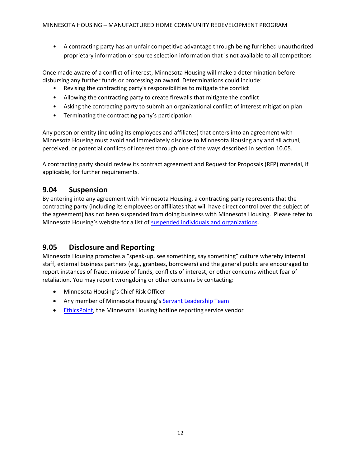• A contracting party has an unfair competitive advantage through being furnished unauthorized proprietary information or source selection information that is not available to all competitors

Once made aware of a conflict of interest, Minnesota Housing will make a determination before disbursing any further funds or processing an award. Determinations could include:

- Revising the contracting party's responsibilities to mitigate the conflict
- Allowing the contracting party to create firewalls that mitigate the conflict
- Asking the contracting party to submit an organizational conflict of interest mitigation plan
- Terminating the contracting party's participation

Any person or entity (including its employees and affiliates) that enters into an agreement with Minnesota Housing must avoid and immediately disclose to Minnesota Housing any and all actual, perceived, or potential conflicts of interest through one of the ways described in section 10.05.

A contracting party should review its contract agreement and Request for Proposals (RFP) material, if applicable, for further requirements.

#### **9.04 Suspension**

By entering into any agreement with Minnesota Housing, a contracting party represents that the contracting party (including its employees or affiliates that will have direct control over the subject of the agreement) has not been suspended from doing business with Minnesota Housing. Please refer to Minnesota Housing's website for a list of [suspended individuals and organizations.](http://www.mnhousing.gov/sites/np/suspensions)

#### **9.05 Disclosure and Reporting**

Minnesota Housing promotes a "speak-up, see something, say something" culture whereby internal staff, external business partners (e.g., grantees, borrowers) and the general public are encouraged to report instances of fraud, misuse of funds, conflicts of interest, or other concerns without fear of retaliation. You may report wrongdoing or other concerns by contacting:

- Minnesota Housing's Chief Risk Officer
- Any member of Minnesota Housing's [Servant Leadership Team](http://www.mnhousing.gov/sites/np/leadership)
- **•** [EthicsPoint,](https://secure.ethicspoint.com/domain/media/en/gui/30639/index.html) the Minnesota Housing hotline reporting service vendor